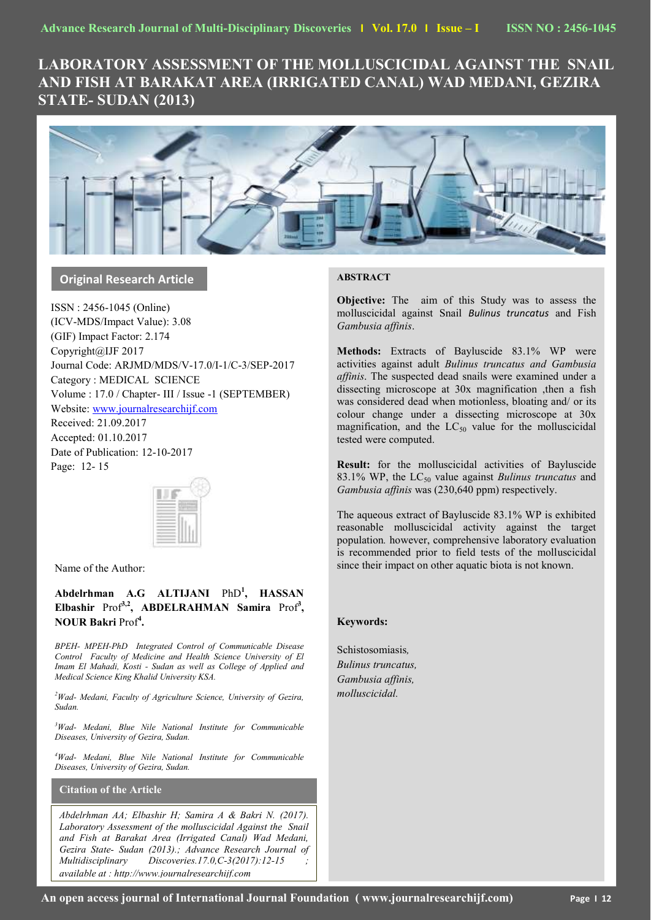# **LABORATORY ASSESSMENT OF THE MOLLUSCICIDAL AGAINST THE SNAIL AND FISH AT BARAKAT AREA (IRRIGATED CANAL) WAD MEDANI, GEZIRA STATE- SUDAN (2013)**



# **Original Research Article**

ISSN : 2456-1045 (Online) (ICV-MDS/Impact Value): 3.08 (GIF) Impact Factor: 2.174 Copyright@IJF 2017 Journal Code: ARJMD/MDS/V-17.0/I-1/C-3/SEP-2017 Category : MEDICAL SCIENCE Volume : 17.0 / Chapter- III / Issue -1 (SEPTEMBER) Website[: www.journalresearchijf.com](http://www.journalresearchijf.com/) Received: 21.09.2017

Accepted: 01.10.2017 Date of Publication: 12-10-2017 Page: 12- 15



Name of the Author:

**Abdelrhman A.G ALTIJANI** PhD**<sup>1</sup> , HASSAN**  Elbashir Prof<sup>3,2</sup>, ABDELRAHMAN Samira Prof<sup>3</sup>, **NOUR Bakri** Prof**<sup>4</sup> .** 

*BPEH- MPEH-PhD Integrated Control of Communicable Disease Control Faculty of Medicine and Health Science University of El Imam El Mahadi, Kosti - Sudan as well as College of Applied and Medical Science King Khalid University KSA.* 

*<sup>2</sup>Wad- Medani, Faculty of Agriculture Science, University of Gezira, Sudan.*

*<sup>3</sup>Wad- Medani, Blue Nile National Institute for Communicable Diseases, University of Gezira, Sudan.*

*<sup>4</sup>Wad- Medani, Blue Nile National Institute for Communicable Diseases, University of Gezira, Sudan.*

# **Citation of the Article**

*Abdelrhman AA; Elbashir H; Samira A & Bakri N. (2017). Laboratory Assessment of the molluscicidal Against the Snail and Fish at Barakat Area (Irrigated Canal) Wad Medani, Gezira State- Sudan (2013).; Advance Research Journal of Multidisciplinary Discoveries.17.0,C-3(2017):12-15 available at : http://www.journalresearchijf.com***e;**

# **ABSTRACT**

**Objective:** The aim of this Study was to assess the molluscicidal against Snail *Bulinus truncatus* and Fish *Gambusia affinis*.

**Methods:** Extracts of Bayluscide 83.1% WP were activities against adult *Bulinus truncatus and Gambusia affinis*. The suspected dead snails were examined under a dissecting microscope at 30x magnification ,then a fish was considered dead when motionless, bloating and/ or its colour change under a dissecting microscope at 30x magnification, and the  $LC_{50}$  value for the molluscicidal tested were computed.

**Result:** for the molluscicidal activities of Bayluscide 83.1% WP, the LC<sub>50</sub> value against *Bulinus truncatus* and *Gambusia affinis* was (230,640 ppm) respectively.

The aqueous extract of Bayluscide 83.1% WP is exhibited reasonable molluscicidal activity against the target population*.* however, comprehensive laboratory evaluation is recommended prior to field tests of the molluscicidal since their impact on other aquatic biota is not known.

# **Keywords:**

Schistosomiasis*, Bulinus truncatus, Gambusia affinis, molluscicidal.*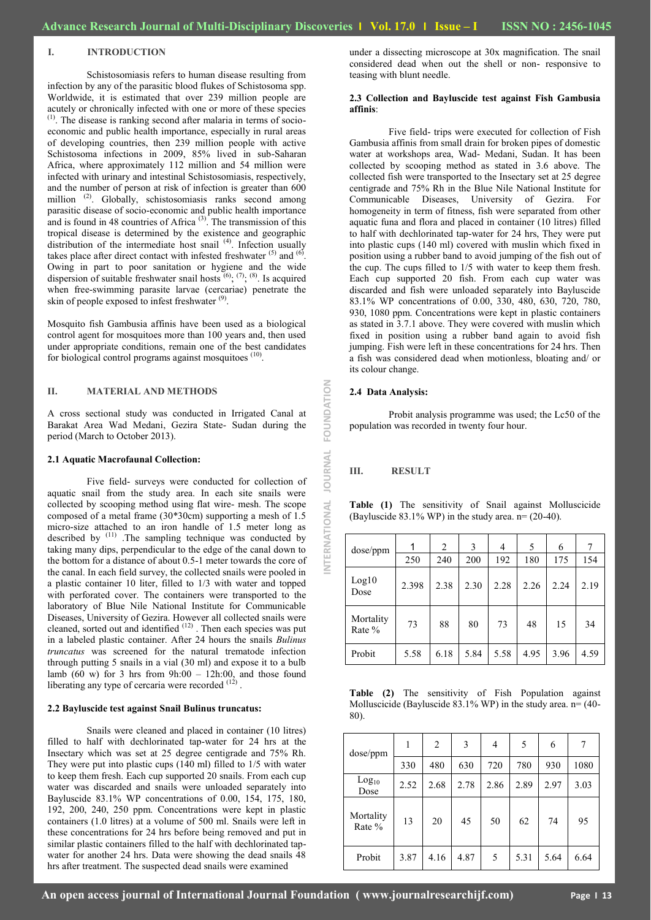## **I. INTRODUCTION**

Schistosomiasis refers to human disease resulting from infection by any of the parasitic blood flukes of Schistosoma spp. Worldwide, it is estimated that over 239 million people are acutely or chronically infected with one or more of these species  $<sup>(1)</sup>$ . The disease is ranking second after malaria in terms of socio-</sup> economic and public health importance, especially in rural areas of developing countries, then 239 million people with active Schistosoma infections in 2009, 85% lived in sub-Saharan Africa, where approximately 112 million and 54 million were infected with urinary and intestinal Schistosomiasis, respectively, and the number of person at risk of infection is greater than 600 million<sup>(2)</sup>. Globally, schistosomiasis ranks second among parasitic disease of socio-economic and public health importance and is found in 48 countries of Africa<sup>(3)</sup>. The transmission of this tropical disease is determined by the existence and geographic distribution of the intermediate host snail<sup>(4)</sup>. Infection usually takes place after direct contact with infested freshwater  $(5)$  and  $(6)$ . Owing in part to poor sanitation or hygiene and the wide dispersion of suitable freshwater snail hosts  $(6)$ ;  $(7)$ ;  $(8)$ . Is acquired when free-swimming parasite larvae (cercariae) penetrate the skin of people exposed to infest freshwater<sup>(9)</sup>.

Mosquito fish Gambusia affinis have been used as a biological control agent for mosquitoes more than 100 years and, then used under appropriate conditions, remain one of the best candidates for biological control programs against mosquitoes <sup>(10)</sup> .

#### **II. MATERIAL AND METHODS**

A cross sectional study was conducted in Irrigated Canal at Barakat Area Wad Medani, Gezira State- Sudan during the period (March to October 2013).

# **2.1 Aquatic Macrofaunal Collection:**

Five field- surveys were conducted for collection of aquatic snail from the study area. In each site snails were collected by scooping method using flat wire- mesh. The scope composed of a metal frame (30\*30cm) supporting a mesh of 1.5 micro-size attached to an iron handle of 1.5 meter long as described by (11) .The sampling technique was conducted by taking many dips, perpendicular to the edge of the canal down to the bottom for a distance of about 0.5-1 meter towards the core of the canal. In each field survey, the collected snails were pooled in a plastic container 10 liter, filled to 1/3 with water and topped with perforated cover. The containers were transported to the laboratory of Blue Nile National Institute for Communicable Diseases, University of Gezira. However all collected snails were cleaned, sorted out and identified  $(12)$ . Then each species was put in a labeled plastic container. After 24 hours the snails *Bulinus truncatus* was screened for the natural trematode infection through putting 5 snails in a vial (30 ml) and expose it to a bulb lamb  $(60 \text{ w})$  for 3 hrs from  $9h:00 - 12h:00$ , and those found liberating any type of cercaria were recorded  $(12)$ .

#### **2.2 Bayluscide test against Snail Bulinus truncatus:**

Snails were cleaned and placed in container (10 litres) filled to half with dechlorinated tap-water for 24 hrs at the Insectary which was set at 25 degree centigrade and 75% Rh. They were put into plastic cups (140 ml) filled to 1/5 with water to keep them fresh. Each cup supported 20 snails. From each cup water was discarded and snails were unloaded separately into Bayluscide 83.1% WP concentrations of 0.00, 154, 175, 180, 192, 200, 240, 250 ppm. Concentrations were kept in plastic containers (1.0 litres) at a volume of 500 ml. Snails were left in these concentrations for 24 hrs before being removed and put in similar plastic containers filled to the half with dechlorinated tapwater for another 24 hrs. Data were showing the dead snails 48 hrs after treatment. The suspected dead snails were examined

under a dissecting microscope at 30x magnification. The snail considered dead when out the shell or non- responsive to teasing with blunt needle.

#### **2.3 Collection and Bayluscide test against Fish Gambusia affinis**:

Five field- trips were executed for collection of Fish Gambusia affinis from small drain for broken pipes of domestic water at workshops area, Wad- Medani, Sudan. It has been collected by scooping method as stated in 3.6 above. The collected fish were transported to the Insectary set at 25 degree centigrade and 75% Rh in the Blue Nile National Institute for Communicable Diseases, University of Gezira. For homogeneity in term of fitness, fish were separated from other aquatic funa and flora and placed in container (10 litres) filled to half with dechlorinated tap-water for 24 hrs, They were put into plastic cups (140 ml) covered with muslin which fixed in position using a rubber band to avoid jumping of the fish out of the cup. The cups filled to 1/5 with water to keep them fresh. Each cup supported 20 fish. From each cup water was discarded and fish were unloaded separately into Bayluscide 83.1% WP concentrations of 0.00, 330, 480, 630, 720, 780, 930, 1080 ppm. Concentrations were kept in plastic containers as stated in 3.7.1 above. They were covered with muslin which fixed in position using a rubber band again to avoid fish jumping. Fish were left in these concentrations for 24 hrs. Then a fish was considered dead when motionless, bloating and/ or its colour change.

### **2.4 Data Analysis:**

Probit analysis programme was used; the Lc50 of the population was recorded in twenty four hour.

# **III. RESULT**

**INTERNATIONAL JOURNAL FOUNDATION**

JOURNAL

NTERNATIONAL

FOUNDATION

| dose/ppm            | 1     | 2    | 3    | 4    | 5    | 6    | 7    |
|---------------------|-------|------|------|------|------|------|------|
|                     | 250   | 240  | 200  | 192  | 180  | 175  | 154  |
| Log10<br>Dose       | 2.398 | 2.38 | 2.30 | 2.28 | 2.26 | 2.24 | 2.19 |
| Mortality<br>Rate % | 73    | 88   | 80   | 73   | 48   | 15   | 34   |
| Probit              | 5.58  | 6.18 | 5.84 | 5.58 | 4.95 | 3.96 | 4.59 |

**Table (1)** The sensitivity of Snail against Molluscicide (Bayluscide 83.1% WP) in the study area. n= (20-40).

**Table (2)** The sensitivity of Fish Population against Molluscicide (Bayluscide 83.1% WP) in the study area. n= (40- 80).

| dose/ppm                  |      | 2    | 3    | 4    | 5    | 6    | 7    |
|---------------------------|------|------|------|------|------|------|------|
|                           | 330  | 480  | 630  | 720  | 780  | 930  | 1080 |
| Log <sub>10</sub><br>Dose | 2.52 | 2.68 | 2.78 | 2.86 | 2.89 | 2.97 | 3.03 |
| Mortality<br>Rate %       | 13   | 20   | 45   | 50   | 62   | 74   | 95   |
| Probit                    | 3.87 | 4.16 | 4.87 | 5    | 5.31 | 5.64 | 6.64 |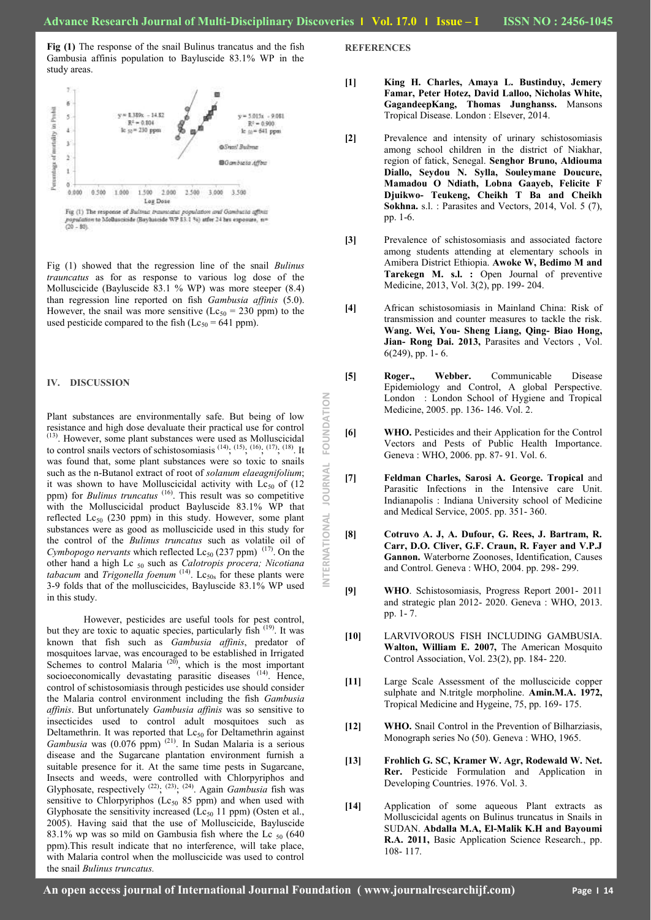**INTERNATIONAL JOURNAL FOUNDATION**

NTERNATIONAL

**JOURNAL** 

FOUNDATION

**Fig (1)** The response of the snail Bulinus trancatus and the fish Gambusia affinis population to Bayluscide 83.1% WP in the study areas.



 $700 - 801$ 

Fig (1) showed that the regression line of the snail *Bulinus trauncatus* as for as response to various log dose of the Molluscicide (Bayluscide 83.1 % WP) was more steeper (8.4) than regression line reported on fish *Gambusia affinis* (5.0). However, the snail was more sensitive ( $Lc_{50} = 230$  ppm) to the used pesticide compared to the fish ( $Lc_{50} = 641$  ppm).

### **IV. DISCUSSION**

Plant substances are environmentally safe. But being of low resistance and high dose devaluate their practical use for control (13). However, some plant substances were used as Molluscicidal to control snails vectors of schistosomiasis  $(14)$ ,  $(15)$ ,  $(16)$ ,  $(17)$ ,  $(18)$ . It was found that, some plant substances were so toxic to snails such as the n-Butanol extract of root of *solanum elaeagnifolium*; it was shown to have Molluscicidal activity with  $Lc_{50}$  of (12 ppm) for *Bulinus truncatus* <sup>(16)</sup>. This result was so competitive with the Molluscicidal product Bayluscide 83.1% WP that reflected  $Lc_{50}$  (230 ppm) in this study. However, some plant substances were as good as molluscicide used in this study for the control of the *Bulinus truncatus* such as volatile oil of *Cymbopogo nervants* which reflected  $Lc_{50}$  (237 ppm)<sup>(17)</sup>. On the other hand a high Lc <sup>50</sup> such as *Calotropis procera; Nicotiana tabacum* and *Trigonella foenum*  $(14)$ . Lc<sub>50s</sub> for these plants were 3-9 folds that of the molluscicides, Bayluscide 83.1% WP used in this study.

 However, pesticides are useful tools for pest control, but they are toxic to aquatic species, particularly fish (19). It was known that fish such as *Gambusia affinis*, predator of mosquitoes larvae, was encouraged to be established in Irrigated Schemes to control Malaria<sup>(20)</sup>, which is the most important socioeconomically devastating parasitic diseases <sup>(14)</sup>. Hence, control of schistosomiasis through pesticides use should consider the Malaria control environment including the fish *Gambusia affinis*. But unfortunately *Gambusia affinis* was so sensitive to insecticides used to control adult mosquitoes such as Deltamethrin. It was reported that  $Lc_{50}$  for Deltamethrin against *Gambusia* was (0.076 ppm) (21). In Sudan Malaria is a serious disease and the Sugarcane plantation environment furnish a suitable presence for it. At the same time pests in Sugarcane, Insects and weeds, were controlled with Chlorpyriphos and Glyphosate, respectively  $^{(22)}$ ;  $^{(23)}$ ;  $^{(24)}$ . Again *Gambusia* fish was sensitive to Chlorpyriphos ( $Lc_{50}$  85 ppm) and when used with Glyphosate the sensitivity increased ( $Lc_{50}$  11 ppm) (Osten et al., 2005). Having said that the use of Molluscicide, Bayluscide 83.1% wp was so mild on Gambusia fish where the Lc  $_{50}$  (640) ppm).This result indicate that no interference, will take place, with Malaria control when the molluscicide was used to control the snail *Bulinus truncatus.*

**REFERENCES**

- **[1] King H. Charles, Amaya L. Bustinduy, Jemery Famar, Peter Hotez, David Lalloo, Nicholas White, GagandeepKang, Thomas Junghanss.** Mansons Tropical Disease. London : Elsever, 2014.
- **[2]** Prevalence and intensity of urinary schistosomiasis among school children in the district of Niakhar, region of fatick, Senegal. **Senghor Bruno, Aldiouma Diallo, Seydou N. Sylla, Souleymane Doucure, Mamadou O Ndiath, Lobna Gaayeb, Felicite F Djuikwo- Teukeng, Cheikh T Ba and Cheikh Sokhna.** s.l. : Parasites and Vectors, 2014, Vol. 5 (7), pp. 1-6.
- **[3]** Prevalence of schistosomiasis and associated factore among students attending at elementary schools in Amibera District Ethiopia. **Awoke W, Bedimo M and Tarekegn M. s.l. :** Open Journal of preventive Medicine, 2013, Vol. 3(2), pp. 199- 204.
- **[4]** African schistosomiasis in Mainland China: Risk of transmission and counter measures to tackle the risk. **Wang. Wei, You- Sheng Liang, Qing- Biao Hong, Jian- Rong Dai. 2013,** Parasites and Vectors , Vol. 6(249), pp. 1- 6.
- **[5] Roger., Webber.** Communicable Disease Epidemiology and Control, A global Perspective. London : London School of Hygiene and Tropical Medicine, 2005. pp. 136- 146. Vol. 2.
- **[6] WHO.** Pesticides and their Application for the Control Vectors and Pests of Public Health Importance. Geneva : WHO, 2006. pp. 87- 91. Vol. 6.
- **[7] Feldman Charles, Sarosi A. George. Tropical** and Parasitic Infections in the Intensive care Unit. Indianapolis : Indiana University school of Medicine and Medical Service, 2005. pp. 351- 360.
- **[8] Cotruvo A. J, A. Dufour, G. Rees, J. Bartram, R. Carr, D.O. Cliver, G.F. Craun, R. Fayer and V.P.J Gannon.** Waterborne Zoonoses, Identification, Causes and Control. Geneva : WHO, 2004. pp. 298- 299.
- **[9] WHO**. Schistosomiasis, Progress Report 2001- 2011 and strategic plan 2012- 2020. Geneva : WHO, 2013. pp. 1- 7.
- **[10]** LARVIVOROUS FISH INCLUDING GAMBUSIA. **Walton, William E. 2007,** The American Mosquito Control Association, Vol. 23(2), pp. 184- 220.
- **[11]** Large Scale Assessment of the molluscicide copper sulphate and N.tritgle morpholine. **Amin.M.A. 1972,**  Tropical Medicine and Hygeine, 75, pp. 169- 175.
- **[12] WHO.** Snail Control in the Prevention of Bilharziasis, Monograph series No (50). Geneva : WHO, 1965.
- **[13] Frohlich G. SC, Kramer W. Agr, Rodewald W. Net. Rer.** Pesticide Formulation and Application in Developing Countries. 1976. Vol. 3.
- **[14]** Application of some aqueous Plant extracts as Molluscicidal agents on Bulinus truncatus in Snails in SUDAN. **Abdalla M.A, El-Malik K.H and Bayoumi R.A. 2011,** Basic Application Science Research., pp. 108- 117.